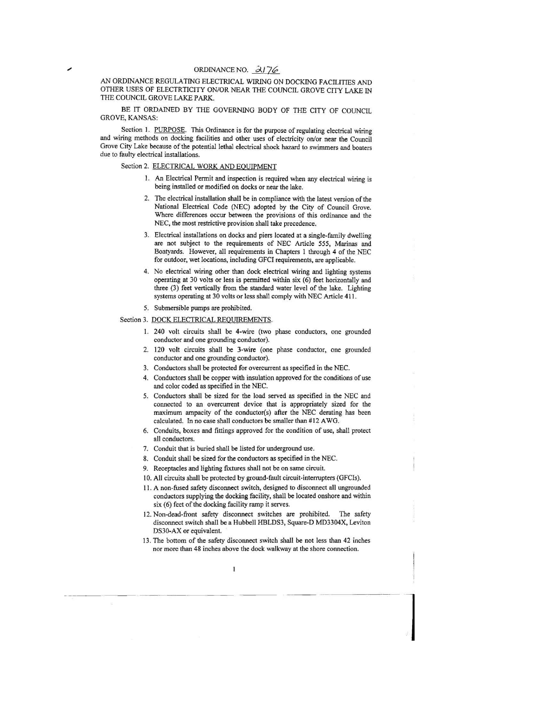## ORDINANCE NO.  $\frac{\partial}{\partial \theta}$

AN ORDINANCE REGULATING ELECTRICAL WIRING ON DOCKING FACILITIES AND OTHER USES OF ELECTRTICITY ON/OR NEAR THE COUNCIL GROVE CITY LAKE IN THE COUNCIL GROVE LAKE PARK.

BE IT ORDAINED BY THE GOVERNING BODY OF THE CITY OF COUNCIL GROVE, KANSAS:

Section 1. PURPOSE. This Ordinance is for the purpose of regulating electrical wiring and wiring methods on docking facilities and other uses of electricity on/or near the Council Grove City Lake because of the potential lethal electrical shock hazard to swimmers and boaters due to faulty electrical installations.

Section 2. ELECTRICAL WORK AND EQUIPMENT

- 1. An Electrical Permit and inspection is required when any electrical wiring is being installed or modified on docks or near the lake.
- 2. The electricaJ installation shall be in compliance with the latest version of the National Electrical Code (NEC) adopted by the City of Council Grove. Where differences occur between the provisions of this ordinance and the NEC, the most restrictive provision shall take precedence.
- 3. Electrical installations on docks and piers located at a single-family dwelling are not subject to the requirements of NEC Article 555, Marinas and Boatyards. However, all requirements in Chapters 1 through 4 of the NEC for outdoor, wet locations, incIuding GFCI requirements, are applicable.
- 4. No electrical wiring other than dock electrical wiring and lighting systems operating at 30 volts or less is pennitted within six (6) feet horizontally and three (3) feet vertically from the standard water level of the lake. Lighting systems operating at 30 volts or less shall comply with NEC Article 411.

5. Submersible pumps are prohibited.

## Section 3. DOCK ELECTRICAL REQUIREMENTS.

- I. 240 volt circuits shall be 4-wire (two phase conductors, one grounded conductor and one grounding conductor).
- 2. 120 volt circuits shall be 3-wire (one phase conductor, one grounded conductor and one grounding conductor).
- 3. Conductors shall be protected for overcurrent as specified in the NEC.
- 4. Conductors shall be copper with insulation approved for the conditions of use and color coded as specified in the NEC.
- 5. Conductors shall be sized for the load served as specified in the NEC and connected to an overcurrent device that is appropriately sized for the maximum ampacity of the conductor(s) after the NEC derating has been calculated. In no case shall conductors be sma1ler than #12 A WG.
- 6. Conduits, boxes and fittings approved for the condition of use, shall protect all conductors.
- 7. Conduit that is buried shall be listed for underground use.
- 8. Conduit shall be sized for the conductors as specified in the NEC.
- 9. Receptacles and lighting fixtures shall not be on same circuit.
- 10. All circuits shall be protected by ground-fault circuit-interrupters (GFCIs).
- II. A non-fused safety disconnect switch, designed to disconnect a1l ungrounded conductors supplying the docking facility, shall be located onshore and within six (6) feet of the docking facility ramp it serves.
- 12. Non-dead-front safety disconnect switches are prohibited. The safety disconnect switch shall be a Hubbell HBLDS3, Square-D MD3304X, Leviton DS30-AX or equivalent.
- 13. The bottom of the safety disconnect switch shall be not less than 42 inches nor more than 48 inches above the dock walkway at the shore connection.

--·- 1

~~ ~-- -- -- -~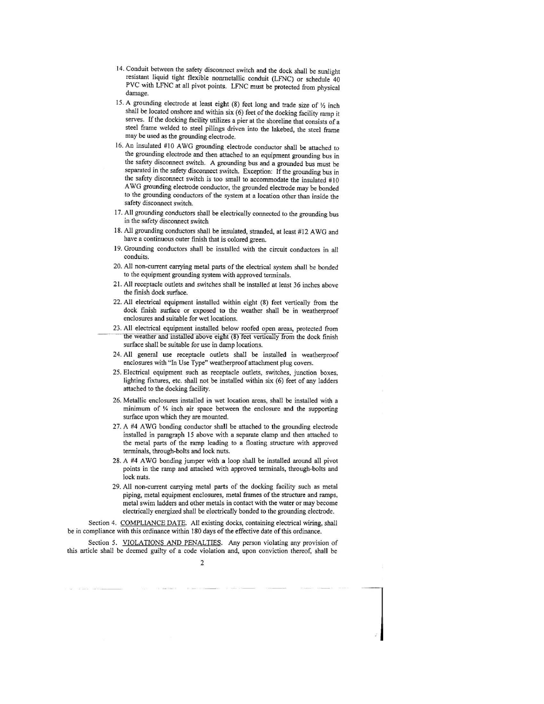- 14. Conduit between the safety disconnect switch and the dock shall be sunlight resistant liquid tight flexible nonmetallic conduit (LFNC) or schedule 40 PVC with LFNC at all pivot points. LFNC must be protected from physical damage.
- 15. A grounding electrode at least eight (8) feet long and trade size of  $\frac{1}{2}$  inch shall be located onshore and within six (6) feet of the docking facility ramp it serves. If the docking facility utilizes a pier at the shoreline that consists of a steel frame welded to steel pilings driven into the lakebed. the steel frame may be used as the grounding electrode.
- 16. An insulated #10 AWG grounding electrode conductor shall be attached to the grounding electrode and then attached to an equipment grounding bus in the safety disconnect switch. A grounding bus and a grounded bus must be separated in the safety disconnect switch, Exception: If the grounding bus in the safety disconnect switch is too small to accommodate the insulated #10 A WG grounding electrode conductor, the grounded electrode may be bonded to the grounding conductors of the system at a location other than inside the safety disconnect switch.
- 17. All grounding conductors shall be electrically connected to the grounding bus in the safety disconnect switch
- 18. All grounding conductors shall be insulated, stranded, at least #12 AWG and have a continuous outer finish that is colored green.
- 19. Grounding conductors shall be installed with the circuit conductors in all conduits.
- 20. All non·current carrying metal parts of the electrical system shall be bonded to the equipment grounding system with approved terminals.
- 21. All receptacle outlets and switches shall be installed at least 36 inches above the finish dock surface.
- 22. All electrical equipment installed within eight (8) feet vertically from the dock finish surface or exposed to the weather shall be in weatherproof enclosures and suitable for wet locations.
- 23. All electrical equipment installed below roofed open areas, protected from the weather and installed above eight (8) feet vertically from the dock finish surface shall be suitable for use in damp locations.
- 24. All general use receptacle outlets shall be installed in weatherproof enclosures with "In Use Type" weatherproof attachment plug covers.
- 25. Electrical equipment such as receptacle outlets, switches, junction boxes, lighting fixtures, etc. shall not be installed within six (6) feet of any ladders attached to the docking facility.
- 26. Metallic enclosures installed in wet location areas, shall be installed with a minimum of  $\frac{1}{4}$  inch air space between the enclosure and the supporting surface upon which they are mounted.
- 27. A #4 AWG bonding conductor shall be attached to the grounding electrode installed in paragraph 15 above with a separate clamp and then attached to the metal parts of the ramp leading to a floating structure with approved terminals, through·bolts and lock nuts.
- 28. A #4 A WG bonding jumper with a loop shall be installed around all pivot points in the ramp and attached with approved terminals. through·bolts and lock nuts.
- 29. All non--current carrying metal parts of the docking facility such as metal piping, metal equipment enclosures. metal frames of the structure and ramps, metal swim ladders and other metals in contact with the water or may become electrically energized shall be electrically bonded to the grounding electrode.

 $\label{eq:1} \begin{array}{c} \mathcal{L}_{1} \\ \mathcal{L}_{2} \end{array}$ 

Section 4. COMPLIANCE DATE. All existing docks, containing electrical wiring. shall be in compliance with this ordinance within 180 days of the effective date of this ordinance.

Section 5. VIOLATIONS AND PENALTIES. Any person violating any provision of this article shall be deemed guilty of a code violation and, upon conviction thereof, shall be

2